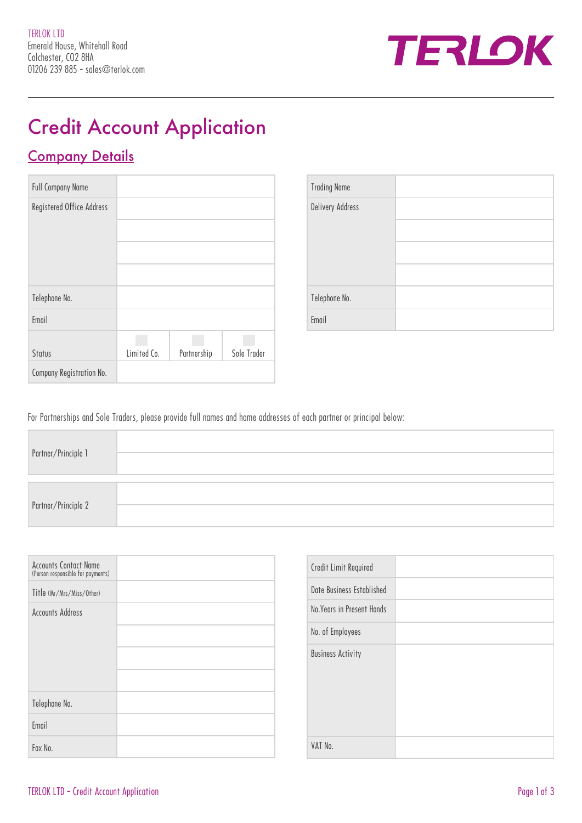

# Credit Account Application

### Company Details

| <b>Full Company Name</b>  |             |             |             |
|---------------------------|-------------|-------------|-------------|
| Registered Office Address |             |             |             |
|                           |             |             |             |
|                           |             |             |             |
|                           |             |             |             |
| Telephone No.             |             |             |             |
|                           |             |             |             |
| Email                     |             |             |             |
|                           |             |             |             |
| <b>Status</b>             | Limited Co. | Partnership | Sole Trader |
| Company Registration No.  |             |             |             |

| <b>Trading Name</b>     |  |
|-------------------------|--|
| <b>Delivery Address</b> |  |
|                         |  |
|                         |  |
|                         |  |
| Telephone No.           |  |
| Email                   |  |

For Partnerships and Sole Traders, please provide full names and home addresses of each partner or principal below:

| Partner/Principle 1 |  |
|---------------------|--|
| Partner/Principle 2 |  |

| <b>Accounts Contact Name</b><br>(Person responsible for payments) |  |
|-------------------------------------------------------------------|--|
| Title (Mr/Mrs/Miss/Other)                                         |  |
| <b>Accounts Address</b>                                           |  |
|                                                                   |  |
| Telephone No.                                                     |  |
| Email                                                             |  |
| Fax No.                                                           |  |

| Credit Limit Required      |  |
|----------------------------|--|
| Date Business Established  |  |
| No. Years in Present Hands |  |
| No. of Employees           |  |
| <b>Business Activity</b>   |  |
| VAT No.                    |  |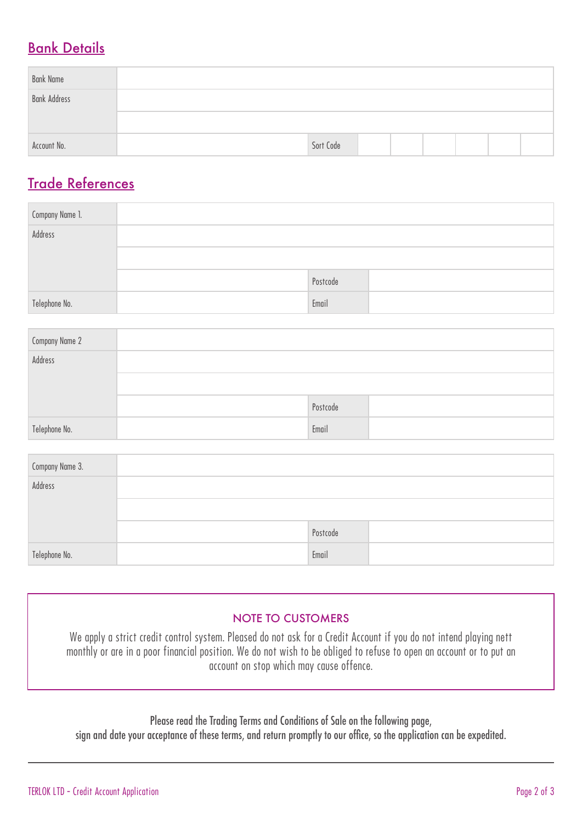### Bank Details

| <b>Bank Name</b>    |           |  |  |  |
|---------------------|-----------|--|--|--|
| <b>Bank Address</b> |           |  |  |  |
|                     |           |  |  |  |
| Account No.         | Sort Code |  |  |  |

### Trade References

| Company Name 1. |          |  |
|-----------------|----------|--|
| Address         |          |  |
|                 |          |  |
|                 | Postcode |  |
| Telephone No.   | Email    |  |

| Company Name 2 |          |  |
|----------------|----------|--|
| Address        |          |  |
|                |          |  |
|                | Postcode |  |
| Telephone No.  | Email    |  |

| Company Name 3. |          |  |
|-----------------|----------|--|
| Address         |          |  |
|                 |          |  |
|                 | Postcode |  |
| Telephone No.   | Email    |  |

### NOTE TO CUSTOMERS

We apply a strict credit control system. Pleased do not ask for a Credit Account if you do not intend playing nett monthly or are in a poor financial position. We do not wish to be obliged to refuse to open an account or to put an account on stop which may cause offence.

Please read the Trading Terms and Conditions of Sale on the following page,

sign and date your acceptance of these terms, and return promptly to our office, so the application can be expedited.